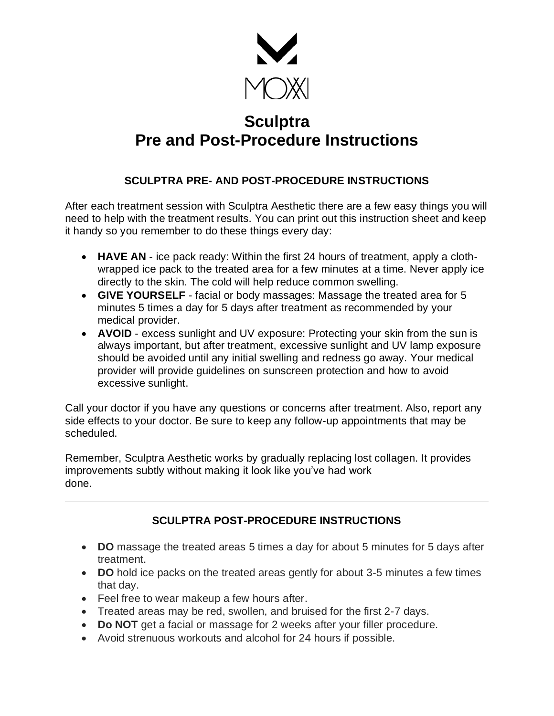

## **Sculptra Pre and Post-Procedure Instructions**

## **SCULPTRA PRE- AND POST-PROCEDURE INSTRUCTIONS**

After each treatment session with Sculptra Aesthetic there are a few easy things you will need to help with the treatment results. You can print out this instruction sheet and keep it handy so you remember to do these things every day:

- **HAVE AN** ice pack ready: Within the first 24 hours of treatment, apply a clothwrapped ice pack to the treated area for a few minutes at a time. Never apply ice directly to the skin. The cold will help reduce common swelling.
- **GIVE YOURSELF** facial or body massages: Massage the treated area for 5 minutes 5 times a day for 5 days after treatment as recommended by your medical provider.
- **AVOID** excess sunlight and UV exposure: Protecting your skin from the sun is always important, but after treatment, excessive sunlight and UV lamp exposure should be avoided until any initial swelling and redness go away. Your medical provider will provide guidelines on sunscreen protection and how to avoid excessive sunlight.

Call your doctor if you have any questions or concerns after treatment. Also, report any side effects to your doctor. Be sure to keep any follow-up appointments that may be scheduled.

Remember, Sculptra Aesthetic works by gradually replacing lost collagen. It provides improvements subtly without making it look like you've had work done.

## **SCULPTRA POST-PROCEDURE INSTRUCTIONS**

- **DO** massage the treated areas 5 times a day for about 5 minutes for 5 days after treatment.
- **DO** hold ice packs on the treated areas gently for about 3-5 minutes a few times that day.
- Feel free to wear makeup a few hours after.
- Treated areas may be red, swollen, and bruised for the first 2-7 days.
- **Do NOT** get a facial or massage for 2 weeks after your filler procedure.
- Avoid strenuous workouts and alcohol for 24 hours if possible.